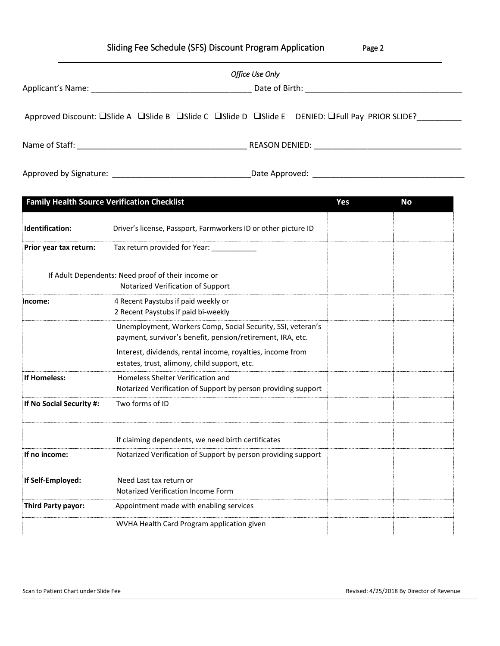|  | Sliding Fee Schedule (SFS) Discount Program Application |  |  |  | Page 2 |
|--|---------------------------------------------------------|--|--|--|--------|
|--|---------------------------------------------------------|--|--|--|--------|

|                                                                                                                                                                                                                                | Office Use Only                            |  |  |  |  |
|--------------------------------------------------------------------------------------------------------------------------------------------------------------------------------------------------------------------------------|--------------------------------------------|--|--|--|--|
| Applicant's Name: Name and Applicant and Applicant and Applicant and Applicant and Applicant and Applicant and Applicant and Applicant and Applicant and Applicant and Applicant and Applicant and Applicant and Applicant and | Date of Birth: National Property of Birth: |  |  |  |  |
| Approved Discount: □Slide A □Slide B □Slide C □Slide D □Slide E DENIED: □Full Pay PRIOR SLIDE?                                                                                                                                 |                                            |  |  |  |  |
| Name of Staff:                                                                                                                                                                                                                 | REASON DENIED:                             |  |  |  |  |

Approved by Signature: \_\_\_\_\_\_\_\_\_\_\_\_\_\_\_\_\_\_\_\_\_\_\_\_\_\_\_\_\_\_\_Date Approved: \_\_\_\_\_\_\_\_\_\_\_\_\_\_\_\_\_\_\_\_\_\_\_\_\_\_\_\_\_\_\_\_\_\_

| <b>Family Health Source Verification Checklist</b>                                      |                                                                                                                           | Yes | <b>No</b> |
|-----------------------------------------------------------------------------------------|---------------------------------------------------------------------------------------------------------------------------|-----|-----------|
| Identification:                                                                         | Driver's license, Passport, Farmworkers ID or other picture ID                                                            |     |           |
| Prior year tax return:                                                                  | Tax return provided for Year:                                                                                             |     |           |
| If Adult Dependents: Need proof of their income or<br>Notarized Verification of Support |                                                                                                                           |     |           |
| Income:                                                                                 | 4 Recent Paystubs if paid weekly or<br>2 Recent Paystubs if paid bi-weekly                                                |     |           |
|                                                                                         | Unemployment, Workers Comp, Social Security, SSI, veteran's<br>payment, survivor's benefit, pension/retirement, IRA, etc. |     |           |
|                                                                                         | Interest, dividends, rental income, royalties, income from<br>estates, trust, alimony, child support, etc.                |     |           |
| If Homeless:                                                                            | Homeless Shelter Verification and<br>Notarized Verification of Support by person providing support                        |     |           |
| If No Social Security #:                                                                | Two forms of ID                                                                                                           |     |           |
|                                                                                         | If claiming dependents, we need birth certificates                                                                        |     |           |
| If no income:                                                                           | Notarized Verification of Support by person providing support                                                             |     |           |
| If Self-Employed:                                                                       | Need Last tax return or<br>Notarized Verification Income Form                                                             |     |           |
| Third Party payor:                                                                      | Appointment made with enabling services                                                                                   |     |           |
|                                                                                         | WVHA Health Card Program application given                                                                                |     |           |